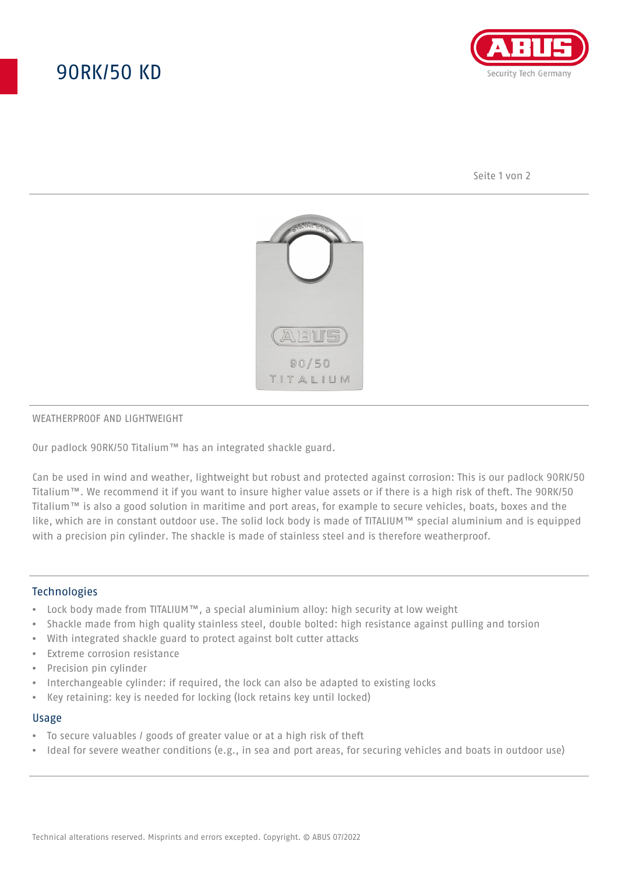# 90RK/50 KD



Seite 1 von 2



### WEATHERPROOF AND LIGHTWEIGHT

Our padlock 90RK/50 Titalium™ has an integrated shackle guard.

Can be used in wind and weather, lightweight but robust and protected against corrosion: This is our padlock 90RK/50 Titalium™. We recommend it if you want to insure higher value assets or if there is a high risk of theft. The 90RK/50 Titalium™ is also a good solution in maritime and port areas, for example to secure vehicles, boats, boxes and the like, which are in constant outdoor use. The solid lock body is made of TITALIUM™ special aluminium and is equipped with a precision pin cylinder. The shackle is made of stainless steel and is therefore weatherproof.

## **Technologies**

- Lock body made from TITALIUM™, a special aluminium alloy: high security at low weight
- Shackle made from high quality stainless steel, double bolted: high resistance against pulling and torsion
- With integrated shackle guard to protect against bolt cutter attacks
- Extreme corrosion resistance
- Precision pin cylinder
- Interchangeable cylinder: if required, the lock can also be adapted to existing locks
- Key retaining: key is needed for locking (lock retains key until locked)

#### Usage

- To secure valuables / goods of greater value or at a high risk of theft
- Ideal for severe weather conditions (e.g., in sea and port areas, for securing vehicles and boats in outdoor use)